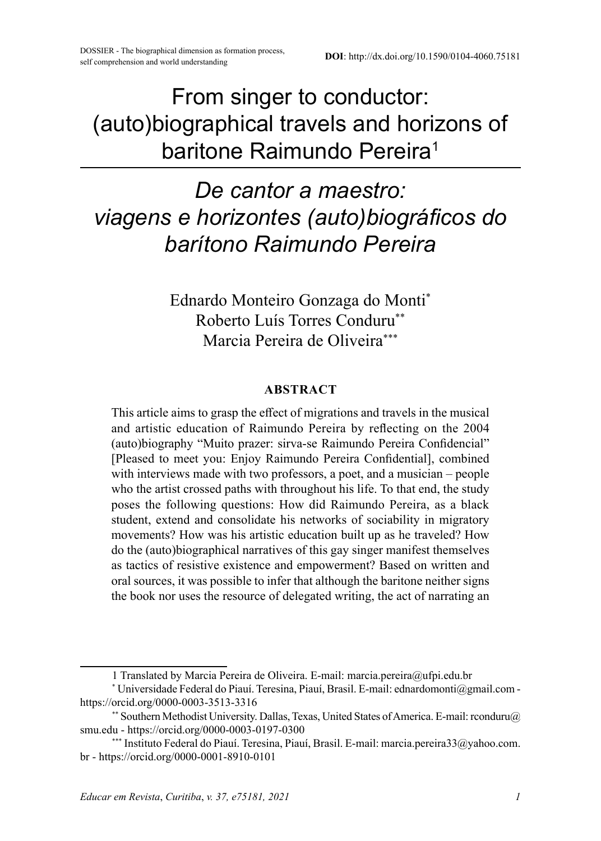From singer to conductor: (auto)biographical travels and horizons of baritone Raimundo Pereira<sup>1</sup>

# *De cantor a maestro: viagens e horizontes (auto)biográficos do barítono Raimundo Pereira*

Ednardo Monteiro Gonzaga do Monti\* Roberto Luís Torres Conduru\*\* Marcia Pereira de Oliveira\*\*\*

#### **ABSTRACT**

This article aims to grasp the effect of migrations and travels in the musical and artistic education of Raimundo Pereira by reflecting on the 2004 (auto)biography "Muito prazer: sirva-se Raimundo Pereira Confidencial" [Pleased to meet you: Enjoy Raimundo Pereira Confidential], combined with interviews made with two professors, a poet, and a musician – people who the artist crossed paths with throughout his life. To that end, the study poses the following questions: How did Raimundo Pereira, as a black student, extend and consolidate his networks of sociability in migratory movements? How was his artistic education built up as he traveled? How do the (auto)biographical narratives of this gay singer manifest themselves as tactics of resistive existence and empowerment? Based on written and oral sources, it was possible to infer that although the baritone neither signs the book nor uses the resource of delegated writing, the act of narrating an

<sup>1</sup> Translated by Marcia Pereira de Oliveira. E-mail: marcia.pereira@ufpi.edu.br

<sup>\*</sup> Universidade Federal do Piauí. Teresina, Piauí, Brasil. E-mail: ednardomonti@gmail.com https://orcid.org/0000-0003-3513-3316

<sup>\*\*</sup> Southern Methodist University. Dallas, Texas, United States of America. E-mail: rconduru@ smu.edu - https://orcid.org/0000-0003-0197-0300

<sup>\*\*\*</sup> Instituto Federal do Piauí. Teresina, Piauí, Brasil. E-mail: marcia.pereira33@yahoo.com. br - https://orcid.org/0000-0001-8910-0101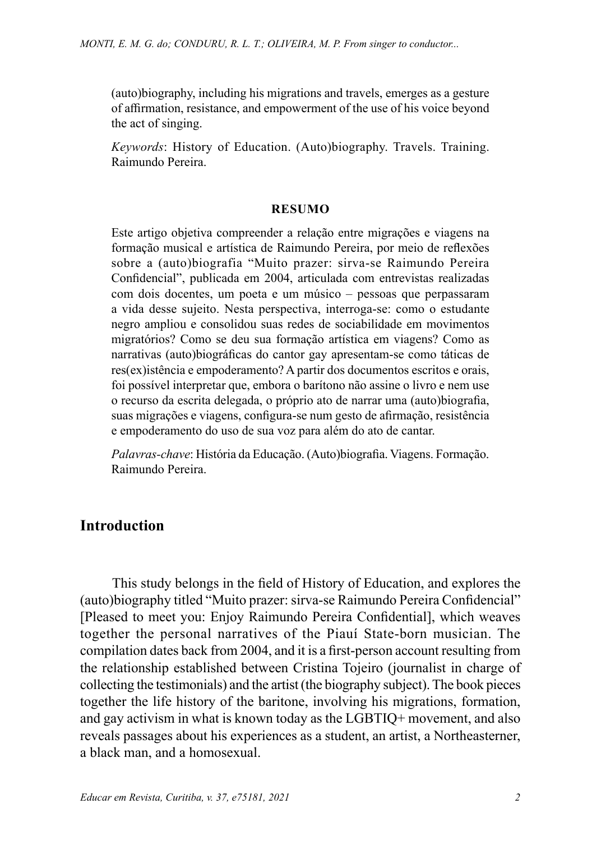(auto)biography, including his migrations and travels, emerges as a gesture of affirmation, resistance, and empowerment of the use of his voice beyond the act of singing.

*Keywords*: History of Education. (Auto)biography. Travels. Training. Raimundo Pereira.

#### **RESUMO**

Este artigo objetiva compreender a relação entre migrações e viagens na formação musical e artística de Raimundo Pereira, por meio de reflexões sobre a (auto)biografia "Muito prazer: sirva-se Raimundo Pereira Confidencial", publicada em 2004, articulada com entrevistas realizadas com dois docentes, um poeta e um músico – pessoas que perpassaram a vida desse sujeito. Nesta perspectiva, interroga-se: como o estudante negro ampliou e consolidou suas redes de sociabilidade em movimentos migratórios? Como se deu sua formação artística em viagens? Como as narrativas (auto)biográficas do cantor gay apresentam-se como táticas de res(ex)istência e empoderamento? A partir dos documentos escritos e orais, foi possível interpretar que, embora o barítono não assine o livro e nem use o recurso da escrita delegada, o próprio ato de narrar uma (auto)biografia, suas migrações e viagens, configura-se num gesto de afirmação, resistência e empoderamento do uso de sua voz para além do ato de cantar.

*Palavras-chave*: História da Educação. (Auto)biografia. Viagens. Formação. Raimundo Pereira.

## **Introduction**

This study belongs in the field of History of Education, and explores the (auto)biography titled "Muito prazer: sirva-se Raimundo Pereira Confidencial" [Pleased to meet you: Enjoy Raimundo Pereira Confidential], which weaves together the personal narratives of the Piauí State-born musician. The compilation dates back from 2004, and it is a first-person account resulting from the relationship established between Cristina Tojeiro (journalist in charge of collecting the testimonials) and the artist (the biography subject). The book pieces together the life history of the baritone, involving his migrations, formation, and gay activism in what is known today as the LGBTIQ+ movement, and also reveals passages about his experiences as a student, an artist, a Northeasterner, a black man, and a homosexual.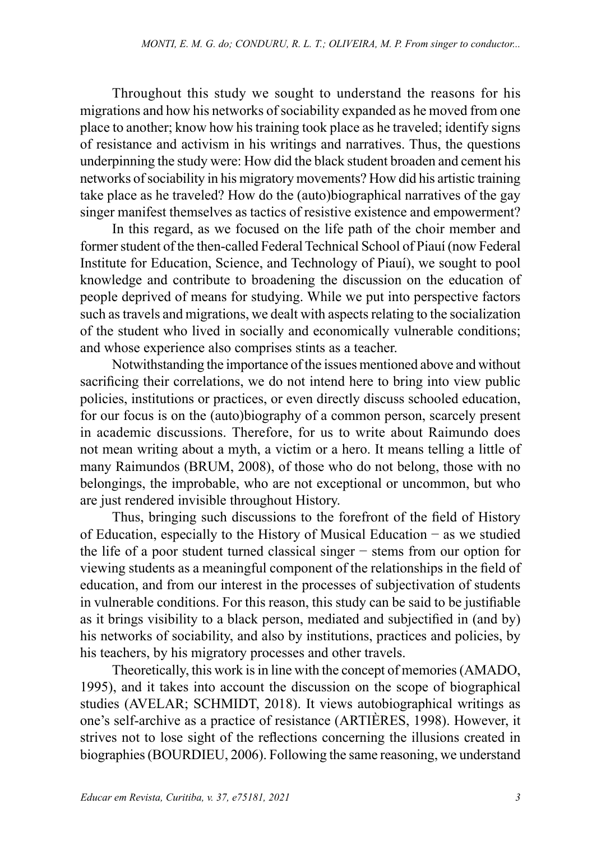Throughout this study we sought to understand the reasons for his migrations and how his networks of sociability expanded as he moved from one place to another; know how his training took place as he traveled; identify signs of resistance and activism in his writings and narratives. Thus, the questions underpinning the study were: How did the black student broaden and cement his networks of sociability in his migratory movements? How did his artistic training take place as he traveled? How do the (auto)biographical narratives of the gay singer manifest themselves as tactics of resistive existence and empowerment?

In this regard, as we focused on the life path of the choir member and former student of the then-called Federal Technical School of Piauí (now Federal Institute for Education, Science, and Technology of Piauí), we sought to pool knowledge and contribute to broadening the discussion on the education of people deprived of means for studying. While we put into perspective factors such as travels and migrations, we dealt with aspects relating to the socialization of the student who lived in socially and economically vulnerable conditions; and whose experience also comprises stints as a teacher.

Notwithstanding the importance of the issues mentioned above and without sacrificing their correlations, we do not intend here to bring into view public policies, institutions or practices, or even directly discuss schooled education, for our focus is on the (auto)biography of a common person, scarcely present in academic discussions. Therefore, for us to write about Raimundo does not mean writing about a myth, a victim or a hero. It means telling a little of many Raimundos (BRUM, 2008), of those who do not belong, those with no belongings, the improbable, who are not exceptional or uncommon, but who are just rendered invisible throughout History.

Thus, bringing such discussions to the forefront of the field of History of Education, especially to the History of Musical Education − as we studied the life of a poor student turned classical singer − stems from our option for viewing students as a meaningful component of the relationships in the field of education, and from our interest in the processes of subjectivation of students in vulnerable conditions. For this reason, this study can be said to be justifiable as it brings visibility to a black person, mediated and subjectified in (and by) his networks of sociability, and also by institutions, practices and policies, by his teachers, by his migratory processes and other travels.

Theoretically, this work is in line with the concept of memories (AMADO, 1995), and it takes into account the discussion on the scope of biographical studies (AVELAR; SCHMIDT, 2018). It views autobiographical writings as one's self-archive as a practice of resistance (ARTIÈRES, 1998). However, it strives not to lose sight of the reflections concerning the illusions created in biographies (BOURDIEU, 2006). Following the same reasoning, we understand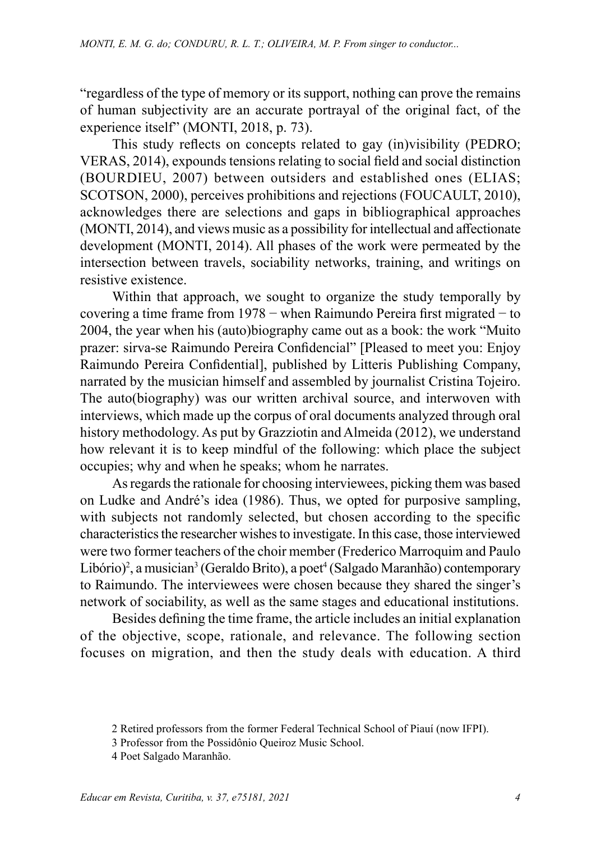"regardless of the type of memory or its support, nothing can prove the remains of human subjectivity are an accurate portrayal of the original fact, of the experience itself" (MONTI, 2018, p. 73).

This study reflects on concepts related to gay (in)visibility (PEDRO; VERAS, 2014), expounds tensions relating to social field and social distinction (BOURDIEU, 2007) between outsiders and established ones (ELIAS; SCOTSON, 2000), perceives prohibitions and rejections (FOUCAULT, 2010), acknowledges there are selections and gaps in bibliographical approaches (MONTI, 2014), and views music as a possibility for intellectual and affectionate development (MONTI, 2014). All phases of the work were permeated by the intersection between travels, sociability networks, training, and writings on resistive existence.

Within that approach, we sought to organize the study temporally by covering a time frame from 1978 − when Raimundo Pereira first migrated − to 2004, the year when his (auto)biography came out as a book: the work "Muito prazer: sirva-se Raimundo Pereira Confidencial" [Pleased to meet you: Enjoy Raimundo Pereira Confidential], published by Litteris Publishing Company, narrated by the musician himself and assembled by journalist Cristina Tojeiro. The auto(biography) was our written archival source, and interwoven with interviews, which made up the corpus of oral documents analyzed through oral history methodology. As put by Grazziotin and Almeida (2012), we understand how relevant it is to keep mindful of the following: which place the subject occupies; why and when he speaks; whom he narrates.

As regards the rationale for choosing interviewees, picking them was based on Ludke and André's idea (1986). Thus, we opted for purposive sampling, with subjects not randomly selected, but chosen according to the specific characteristics the researcher wishes to investigate. In this case, those interviewed were two former teachers of the choir member (Frederico Marroquim and Paulo Libório)<sup>2</sup>, a musician<sup>3</sup> (Geraldo Brito), a poet<sup>4</sup> (Salgado Maranhão) contemporary to Raimundo. The interviewees were chosen because they shared the singer's network of sociability, as well as the same stages and educational institutions.

Besides defining the time frame, the article includes an initial explanation of the objective, scope, rationale, and relevance. The following section focuses on migration, and then the study deals with education. A third

<sup>2</sup> Retired professors from the former Federal Technical School of Piauí (now IFPI).

<sup>3</sup> Professor from the Possidônio Queiroz Music School.

<sup>4</sup> Poet Salgado Maranhão.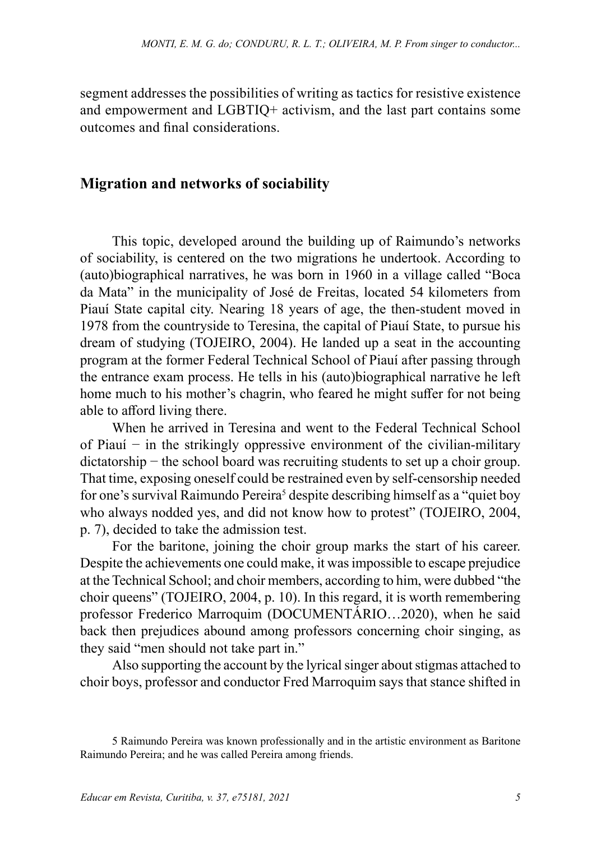segment addresses the possibilities of writing as tactics for resistive existence and empowerment and LGBTIQ+ activism, and the last part contains some outcomes and final considerations.

#### **Migration and networks of sociability**

This topic, developed around the building up of Raimundo's networks of sociability, is centered on the two migrations he undertook. According to (auto)biographical narratives, he was born in 1960 in a village called "Boca da Mata" in the municipality of José de Freitas, located 54 kilometers from Piauí State capital city. Nearing 18 years of age, the then-student moved in 1978 from the countryside to Teresina, the capital of Piauí State, to pursue his dream of studying (TOJEIRO, 2004). He landed up a seat in the accounting program at the former Federal Technical School of Piauí after passing through the entrance exam process. He tells in his (auto)biographical narrative he left home much to his mother's chagrin, who feared he might suffer for not being able to afford living there.

When he arrived in Teresina and went to the Federal Technical School of Piauí − in the strikingly oppressive environment of the civilian-military dictatorship − the school board was recruiting students to set up a choir group. That time, exposing oneself could be restrained even by self-censorship needed for one's survival Raimundo Pereira<sup>5</sup> despite describing himself as a "quiet boy who always nodded yes, and did not know how to protest" (TOJEIRO, 2004, p. 7), decided to take the admission test.

For the baritone, joining the choir group marks the start of his career. Despite the achievements one could make, it was impossible to escape prejudice at the Technical School; and choir members, according to him, were dubbed "the choir queens" (TOJEIRO, 2004, p. 10). In this regard, it is worth remembering professor Frederico Marroquim (DOCUMENTÁRIO…2020), when he said back then prejudices abound among professors concerning choir singing, as they said "men should not take part in."

Also supporting the account by the lyrical singer about stigmas attached to choir boys, professor and conductor Fred Marroquim says that stance shifted in

<sup>5</sup> Raimundo Pereira was known professionally and in the artistic environment as Baritone Raimundo Pereira; and he was called Pereira among friends.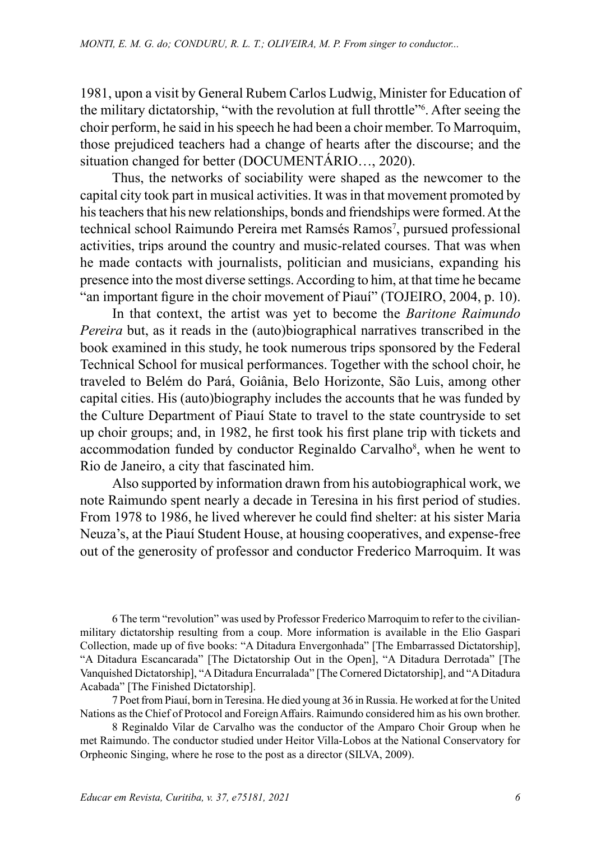1981, upon a visit by General Rubem Carlos Ludwig, Minister for Education of the military dictatorship, "with the revolution at full throttle"6 . After seeing the choir perform, he said in his speech he had been a choir member. To Marroquim, those prejudiced teachers had a change of hearts after the discourse; and the situation changed for better (DOCUMENTÁRIO…, 2020).

Thus, the networks of sociability were shaped as the newcomer to the capital city took part in musical activities. It was in that movement promoted by his teachers that his new relationships, bonds and friendships were formed. At the technical school Raimundo Pereira met Ramsés Ramos<sup>7</sup>, pursued professional activities, trips around the country and music-related courses. That was when he made contacts with journalists, politician and musicians, expanding his presence into the most diverse settings. According to him, at that time he became "an important figure in the choir movement of Piauí" (TOJEIRO, 2004, p. 10).

In that context, the artist was yet to become the *Baritone Raimundo Pereira* but, as it reads in the (auto)biographical narratives transcribed in the book examined in this study, he took numerous trips sponsored by the Federal Technical School for musical performances. Together with the school choir, he traveled to Belém do Pará, Goiânia, Belo Horizonte, São Luis, among other capital cities. His (auto)biography includes the accounts that he was funded by the Culture Department of Piauí State to travel to the state countryside to set up choir groups; and, in 1982, he first took his first plane trip with tickets and accommodation funded by conductor Reginaldo Carvalho<sup>8</sup>, when he went to Rio de Janeiro, a city that fascinated him.

Also supported by information drawn from his autobiographical work, we note Raimundo spent nearly a decade in Teresina in his first period of studies. From 1978 to 1986, he lived wherever he could find shelter: at his sister Maria Neuza's, at the Piauí Student House, at housing cooperatives, and expense-free out of the generosity of professor and conductor Frederico Marroquim. It was

6 The term "revolution" was used by Professor Frederico Marroquim to refer to the civilianmilitary dictatorship resulting from a coup. More information is available in the Elio Gaspari Collection, made up of five books: "A Ditadura Envergonhada" [The Embarrassed Dictatorship], "A Ditadura Escancarada" [The Dictatorship Out in the Open], "A Ditadura Derrotada" [The Vanquished Dictatorship], "A Ditadura Encurralada" [The Cornered Dictatorship], and "A Ditadura Acabada" [The Finished Dictatorship].

7 Poet from Piauí, born in Teresina. He died young at 36 in Russia. He worked at for the United Nations as the Chief of Protocol and Foreign Affairs. Raimundo considered him as his own brother.

8 Reginaldo Vilar de Carvalho was the conductor of the Amparo Choir Group when he met Raimundo. The conductor studied under Heitor Villa-Lobos at the National Conservatory for Orpheonic Singing, where he rose to the post as a director (SILVA, 2009).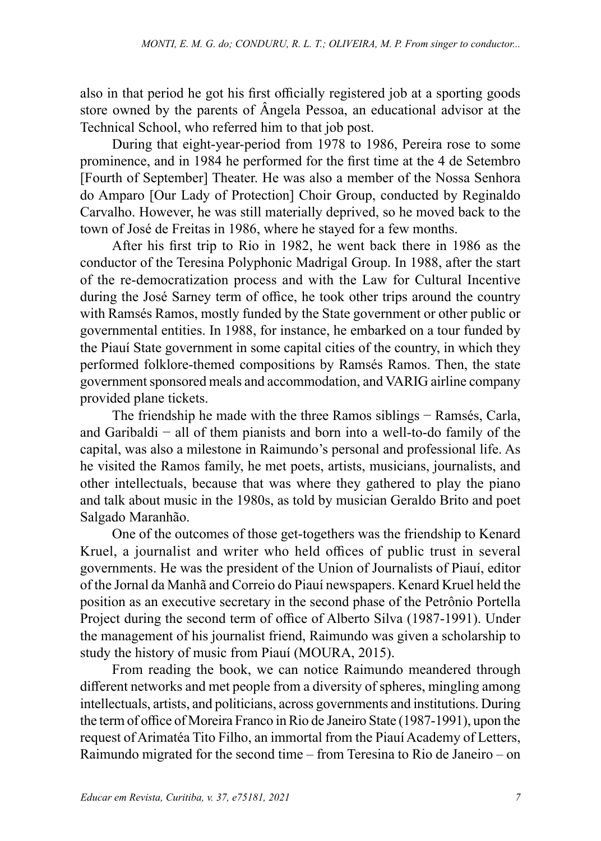also in that period he got his first officially registered job at a sporting goods store owned by the parents of Ângela Pessoa, an educational advisor at the Technical School, who referred him to that job post.

During that eight-year-period from 1978 to 1986, Pereira rose to some prominence, and in 1984 he performed for the first time at the 4 de Setembro [Fourth of September] Theater. He was also a member of the Nossa Senhora do Amparo [Our Lady of Protection] Choir Group, conducted by Reginaldo Carvalho. However, he was still materially deprived, so he moved back to the town of José de Freitas in 1986, where he stayed for a few months.

After his first trip to Rio in 1982, he went back there in 1986 as the conductor of the Teresina Polyphonic Madrigal Group. In 1988, after the start of the re-democratization process and with the Law for Cultural Incentive during the José Sarney term of office, he took other trips around the country with Ramsés Ramos, mostly funded by the State government or other public or governmental entities. In 1988, for instance, he embarked on a tour funded by the Piauí State government in some capital cities of the country, in which they performed folklore-themed compositions by Ramsés Ramos. Then, the state government sponsored meals and accommodation, and VARIG airline company provided plane tickets.

The friendship he made with the three Ramos siblings − Ramsés, Carla, and Garibaldi − all of them pianists and born into a well-to-do family of the capital, was also a milestone in Raimundo's personal and professional life. As he visited the Ramos family, he met poets, artists, musicians, journalists, and other intellectuals, because that was where they gathered to play the piano and talk about music in the 1980s, as told by musician Geraldo Brito and poet Salgado Maranhão.

One of the outcomes of those get-togethers was the friendship to Kenard Kruel, a journalist and writer who held offices of public trust in several governments. He was the president of the Union of Journalists of Piauí, editor of the Jornal da Manhã and Correio do Piauí newspapers. Kenard Kruel held the position as an executive secretary in the second phase of the Petrônio Portella Project during the second term of office of Alberto Silva (1987-1991). Under the management of his journalist friend, Raimundo was given a scholarship to study the history of music from Piauí (MOURA, 2015).

From reading the book, we can notice Raimundo meandered through different networks and met people from a diversity of spheres, mingling among intellectuals, artists, and politicians, across governments and institutions. During the term of office of Moreira Franco in Rio de Janeiro State (1987-1991), upon the request of Arimatéa Tito Filho, an immortal from the Piauí Academy of Letters, Raimundo migrated for the second time – from Teresina to Rio de Janeiro – on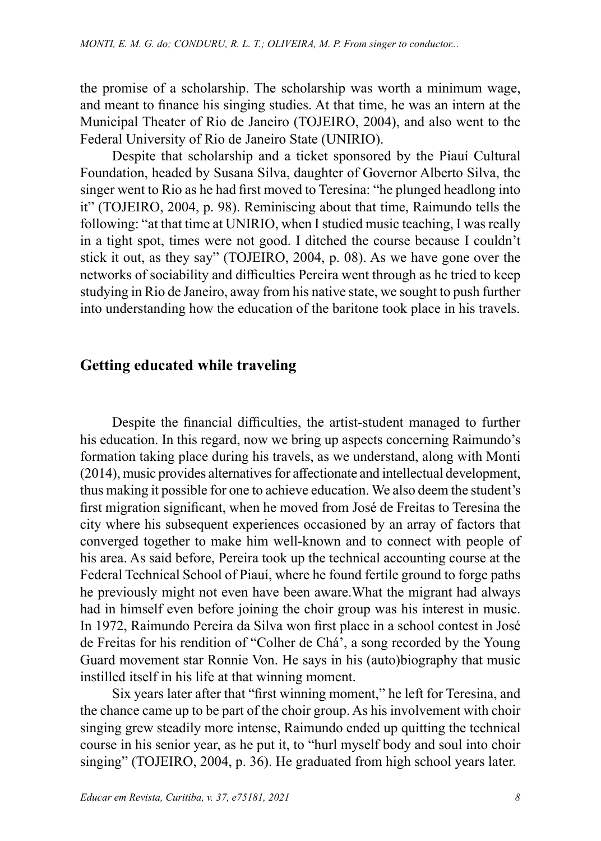the promise of a scholarship. The scholarship was worth a minimum wage, and meant to finance his singing studies. At that time, he was an intern at the Municipal Theater of Rio de Janeiro (TOJEIRO, 2004), and also went to the Federal University of Rio de Janeiro State (UNIRIO).

Despite that scholarship and a ticket sponsored by the Piauí Cultural Foundation, headed by Susana Silva, daughter of Governor Alberto Silva, the singer went to Rio as he had first moved to Teresina: "he plunged headlong into it" (TOJEIRO, 2004, p. 98). Reminiscing about that time, Raimundo tells the following: "at that time at UNIRIO, when I studied music teaching, I was really in a tight spot, times were not good. I ditched the course because I couldn't stick it out, as they say" (TOJEIRO, 2004, p. 08). As we have gone over the networks of sociability and difficulties Pereira went through as he tried to keep studying in Rio de Janeiro, away from his native state, we sought to push further into understanding how the education of the baritone took place in his travels.

## **Getting educated while traveling**

Despite the financial difficulties, the artist-student managed to further his education. In this regard, now we bring up aspects concerning Raimundo's formation taking place during his travels, as we understand, along with Monti (2014), music provides alternatives for affectionate and intellectual development, thus making it possible for one to achieve education. We also deem the student's first migration significant, when he moved from José de Freitas to Teresina the city where his subsequent experiences occasioned by an array of factors that converged together to make him well-known and to connect with people of his area. As said before, Pereira took up the technical accounting course at the Federal Technical School of Piauí, where he found fertile ground to forge paths he previously might not even have been aware.What the migrant had always had in himself even before joining the choir group was his interest in music. In 1972, Raimundo Pereira da Silva won first place in a school contest in José de Freitas for his rendition of "Colher de Chá', a song recorded by the Young Guard movement star Ronnie Von. He says in his (auto)biography that music instilled itself in his life at that winning moment.

Six years later after that "first winning moment," he left for Teresina, and the chance came up to be part of the choir group. As his involvement with choir singing grew steadily more intense, Raimundo ended up quitting the technical course in his senior year, as he put it, to "hurl myself body and soul into choir singing" (TOJEIRO, 2004, p. 36). He graduated from high school years later.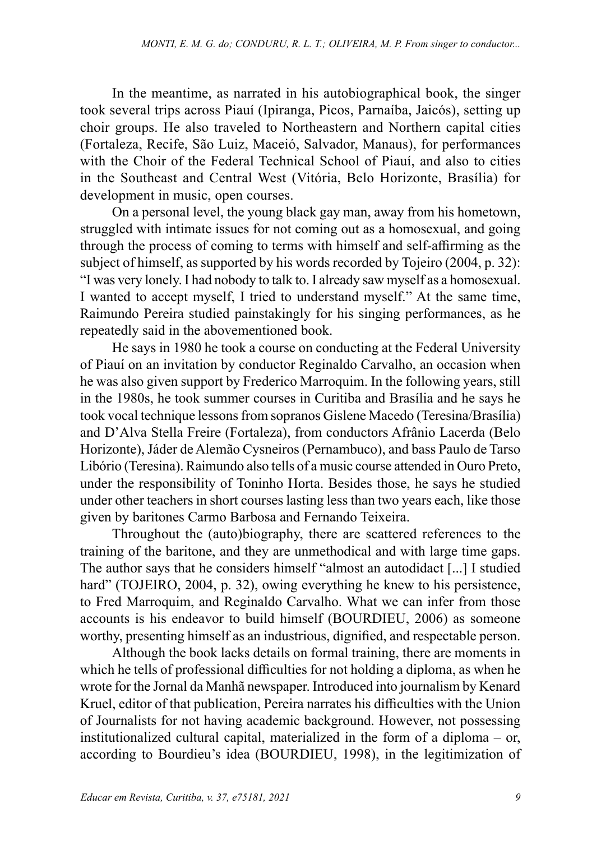In the meantime, as narrated in his autobiographical book, the singer took several trips across Piauí (Ipiranga, Picos, Parnaíba, Jaicós), setting up choir groups. He also traveled to Northeastern and Northern capital cities (Fortaleza, Recife, São Luiz, Maceió, Salvador, Manaus), for performances with the Choir of the Federal Technical School of Piauí, and also to cities in the Southeast and Central West (Vitória, Belo Horizonte, Brasília) for development in music, open courses.

On a personal level, the young black gay man, away from his hometown, struggled with intimate issues for not coming out as a homosexual, and going through the process of coming to terms with himself and self-affirming as the subject of himself, as supported by his words recorded by Tojeiro (2004, p. 32): "I was very lonely. I had nobody to talk to. I already saw myself as a homosexual. I wanted to accept myself, I tried to understand myself." At the same time, Raimundo Pereira studied painstakingly for his singing performances, as he repeatedly said in the abovementioned book.

He says in 1980 he took a course on conducting at the Federal University of Piauí on an invitation by conductor Reginaldo Carvalho, an occasion when he was also given support by Frederico Marroquim. In the following years, still in the 1980s, he took summer courses in Curitiba and Brasília and he says he took vocal technique lessons from sopranos Gislene Macedo (Teresina/Brasília) and D'Alva Stella Freire (Fortaleza), from conductors Afrânio Lacerda (Belo Horizonte), Jáder de Alemão Cysneiros (Pernambuco), and bass Paulo de Tarso Libório (Teresina). Raimundo also tells of a music course attended in Ouro Preto, under the responsibility of Toninho Horta. Besides those, he says he studied under other teachers in short courses lasting less than two years each, like those given by baritones Carmo Barbosa and Fernando Teixeira.

Throughout the (auto)biography, there are scattered references to the training of the baritone, and they are unmethodical and with large time gaps. The author says that he considers himself "almost an autodidact [...] I studied hard" (TOJEIRO, 2004, p. 32), owing everything he knew to his persistence, to Fred Marroquim, and Reginaldo Carvalho. What we can infer from those accounts is his endeavor to build himself (BOURDIEU, 2006) as someone worthy, presenting himself as an industrious, dignified, and respectable person.

Although the book lacks details on formal training, there are moments in which he tells of professional difficulties for not holding a diploma, as when he wrote for the Jornal da Manhã newspaper. Introduced into journalism by Kenard Kruel, editor of that publication, Pereira narrates his difficulties with the Union of Journalists for not having academic background. However, not possessing institutionalized cultural capital, materialized in the form of a diploma – or, according to Bourdieu's idea (BOURDIEU, 1998), in the legitimization of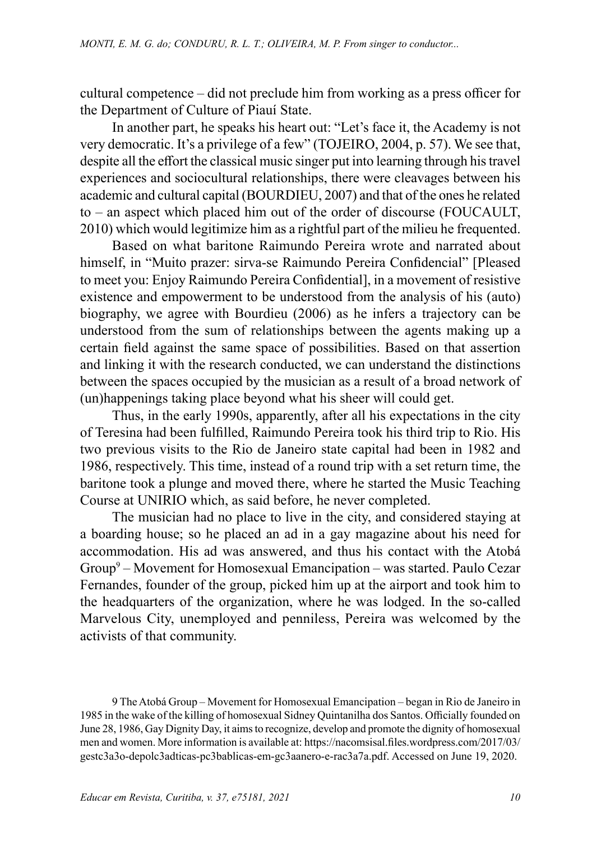cultural competence – did not preclude him from working as a press officer for the Department of Culture of Piauí State.

In another part, he speaks his heart out: "Let's face it, the Academy is not very democratic. It's a privilege of a few" (TOJEIRO, 2004, p. 57). We see that, despite all the effort the classical music singer put into learning through his travel experiences and sociocultural relationships, there were cleavages between his academic and cultural capital (BOURDIEU, 2007) and that of the ones he related to – an aspect which placed him out of the order of discourse (FOUCAULT, 2010) which would legitimize him as a rightful part of the milieu he frequented.

Based on what baritone Raimundo Pereira wrote and narrated about himself, in "Muito prazer: sirva-se Raimundo Pereira Confidencial" [Pleased to meet you: Enjoy Raimundo Pereira Confidential], in a movement of resistive existence and empowerment to be understood from the analysis of his (auto) biography, we agree with Bourdieu (2006) as he infers a trajectory can be understood from the sum of relationships between the agents making up a certain field against the same space of possibilities. Based on that assertion and linking it with the research conducted, we can understand the distinctions between the spaces occupied by the musician as a result of a broad network of (un)happenings taking place beyond what his sheer will could get.

Thus, in the early 1990s, apparently, after all his expectations in the city of Teresina had been fulfilled, Raimundo Pereira took his third trip to Rio. His two previous visits to the Rio de Janeiro state capital had been in 1982 and 1986, respectively. This time, instead of a round trip with a set return time, the baritone took a plunge and moved there, where he started the Music Teaching Course at UNIRIO which, as said before, he never completed.

The musician had no place to live in the city, and considered staying at a boarding house; so he placed an ad in a gay magazine about his need for accommodation. His ad was answered, and thus his contact with the Atobá Group<sup>9</sup> – Movement for Homosexual Emancipation – was started. Paulo Cezar Fernandes, founder of the group, picked him up at the airport and took him to the headquarters of the organization, where he was lodged. In the so-called Marvelous City, unemployed and penniless, Pereira was welcomed by the activists of that community.

9 The Atobá Group – Movement for Homosexual Emancipation – began in Rio de Janeiro in 1985 in the wake of the killing of homosexual Sidney Quintanilha dos Santos. Officially founded on June 28, 1986, Gay Dignity Day, it aims to recognize, develop and promote the dignity of homosexual men and women. More information is available at: [https://nacomsisal.files.wordpress.com/2017/03/](https://nacomsisal.files.wordpress.com/2017/03/gestc3a3o-de-polc3adticas-pc3bablicas-em-gc3aanero-e-rac3a7a.pdf) [gestc3a3o-depolc3adticas-pc3bablicas-em-gc3aanero-e-rac3a7a.pdf.](https://nacomsisal.files.wordpress.com/2017/03/gestc3a3o-de-polc3adticas-pc3bablicas-em-gc3aanero-e-rac3a7a.pdf) Accessed on June 19, 2020.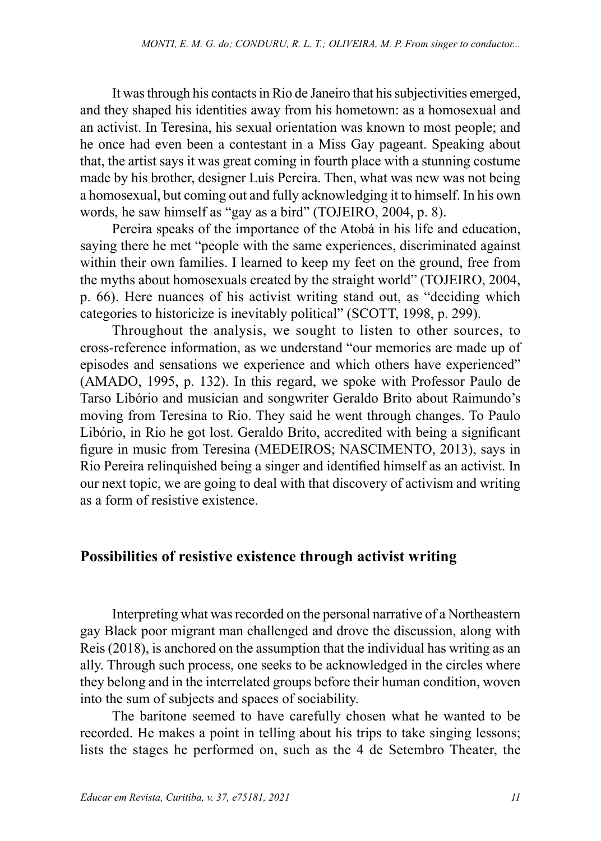It was through his contacts in Rio de Janeiro that his subjectivities emerged, and they shaped his identities away from his hometown: as a homosexual and an activist. In Teresina, his sexual orientation was known to most people; and he once had even been a contestant in a Miss Gay pageant. Speaking about that, the artist says it was great coming in fourth place with a stunning costume made by his brother, designer Luís Pereira. Then, what was new was not being a homosexual, but coming out and fully acknowledging it to himself. In his own words, he saw himself as "gay as a bird" (TOJEIRO, 2004, p. 8).

Pereira speaks of the importance of the Atobá in his life and education, saying there he met "people with the same experiences, discriminated against within their own families. I learned to keep my feet on the ground, free from the myths about homosexuals created by the straight world" (TOJEIRO, 2004, p. 66). Here nuances of his activist writing stand out, as "deciding which categories to historicize is inevitably political" (SCOTT, 1998, p. 299).

Throughout the analysis, we sought to listen to other sources, to cross-reference information, as we understand "our memories are made up of episodes and sensations we experience and which others have experienced" (AMADO, 1995, p. 132). In this regard, we spoke with Professor Paulo de Tarso Libório and musician and songwriter Geraldo Brito about Raimundo's moving from Teresina to Rio. They said he went through changes. To Paulo Libório, in Rio he got lost. Geraldo Brito, accredited with being a significant figure in music from Teresina (MEDEIROS; NASCIMENTO, 2013), says in Rio Pereira relinquished being a singer and identified himself as an activist. In our next topic, we are going to deal with that discovery of activism and writing as a form of resistive existence.

#### **Possibilities of resistive existence through activist writing**

Interpreting what was recorded on the personal narrative of a Northeastern gay Black poor migrant man challenged and drove the discussion, along with Reis (2018), is anchored on the assumption that the individual has writing as an ally. Through such process, one seeks to be acknowledged in the circles where they belong and in the interrelated groups before their human condition, woven into the sum of subjects and spaces of sociability.

The baritone seemed to have carefully chosen what he wanted to be recorded. He makes a point in telling about his trips to take singing lessons; lists the stages he performed on, such as the 4 de Setembro Theater, the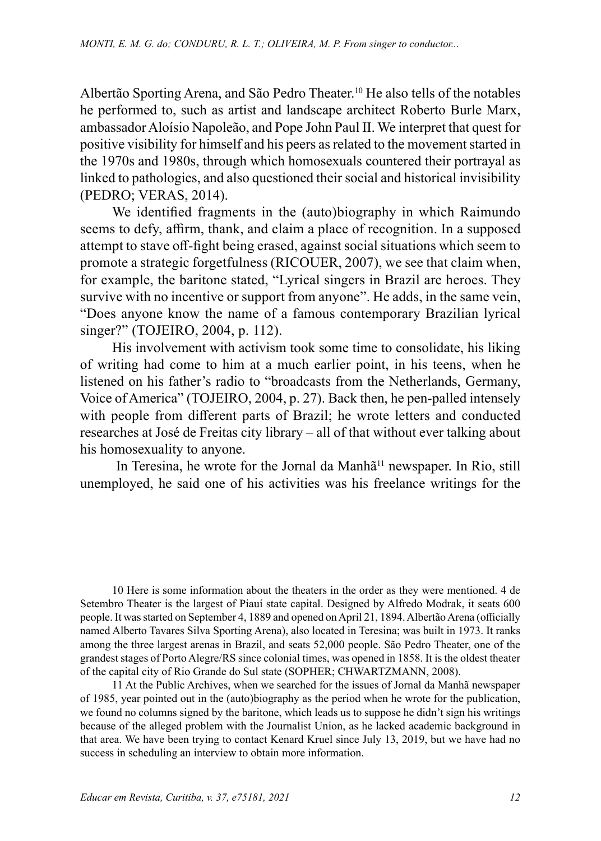Albertão Sporting Arena, and São Pedro Theater.<sup>10</sup> He also tells of the notables he performed to, such as artist and landscape architect Roberto Burle Marx, ambassador Aloísio Napoleão, and Pope John Paul II. We interpret that quest for positive visibility for himself and his peers as related to the movement started in the 1970s and 1980s, through which homosexuals countered their portrayal as linked to pathologies, and also questioned their social and historical invisibility (PEDRO; VERAS, 2014).

We identified fragments in the (auto)biography in which Raimundo seems to defy, affirm, thank, and claim a place of recognition. In a supposed attempt to stave off-fight being erased, against social situations which seem to promote a strategic forgetfulness (RICOUER, 2007), we see that claim when, for example, the baritone stated, "Lyrical singers in Brazil are heroes. They survive with no incentive or support from anyone". He adds, in the same vein, "Does anyone know the name of a famous contemporary Brazilian lyrical singer?" (TOJEIRO, 2004, p. 112).

His involvement with activism took some time to consolidate, his liking of writing had come to him at a much earlier point, in his teens, when he listened on his father's radio to "broadcasts from the Netherlands, Germany, Voice of America" (TOJEIRO, 2004, p. 27). Back then, he pen-palled intensely with people from different parts of Brazil; he wrote letters and conducted researches at José de Freitas city library – all of that without ever talking about his homosexuality to anyone.

In Teresina, he wrote for the Jornal da Manhã<sup>11</sup> newspaper. In Rio, still unemployed, he said one of his activities was his freelance writings for the

10 Here is some information about the theaters in the order as they were mentioned. 4 de Setembro Theater is the largest of Piauí state capital. Designed by [Alfredo Modrak,](https://pt.wikipedia.org/w/index.php?title=Alfredo_Modrak&action=edit&redlink=1) it seats 600 people. It was started on September 4, 1889 and opened on April [21,](https://pt.wikipedia.org/wiki/21_de_abril) [1894.](https://pt.wikipedia.org/wiki/1894) Albertão Arena (officially named Alberto Tavares Silva Sporting Arena), also located in Teresina; was built in 1973. It ranks among the three largest arenas in Brazil, and seats 52,000 people. São Pedro Theater, one of the grandest stages of Porto Alegre/RS since colonial times, was opened in 1858. It is the oldest theater of the capital city of Rio Grande do Sul state (SOPHER; CHWARTZMANN, 2008).

11 At the Public Archives, when we searched for the issues of Jornal da Manhã newspaper of 1985, year pointed out in the (auto)biography as the period when he wrote for the publication, we found no columns signed by the baritone, which leads us to suppose he didn't sign his writings because of the alleged problem with the Journalist Union, as he lacked academic background in that area. We have been trying to contact Kenard Kruel since July 13, 2019, but we have had no success in scheduling an interview to obtain more information.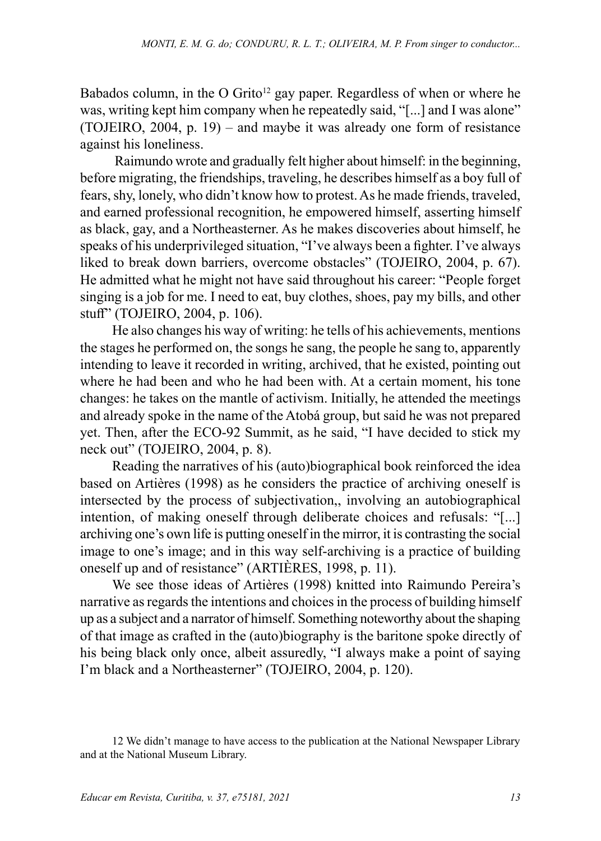Babados column, in the O Grito<sup>12</sup> gay paper. Regardless of when or where he was, writing kept him company when he repeatedly said, "[...] and I was alone" (TOJEIRO, 2004, p. 19) – and maybe it was already one form of resistance against his loneliness.

 Raimundo wrote and gradually felt higher about himself: in the beginning, before migrating, the friendships, traveling, he describes himself as a boy full of fears, shy, lonely, who didn't know how to protest. As he made friends, traveled, and earned professional recognition, he empowered himself, asserting himself as black, gay, and a Northeasterner. As he makes discoveries about himself, he speaks of his underprivileged situation, "I've always been a fighter. I've always liked to break down barriers, overcome obstacles" (TOJEIRO, 2004, p. 67). He admitted what he might not have said throughout his career: "People forget singing is a job for me. I need to eat, buy clothes, shoes, pay my bills, and other stuff" (TOJEIRO, 2004, p. 106).

He also changes his way of writing: he tells of his achievements, mentions the stages he performed on, the songs he sang, the people he sang to, apparently intending to leave it recorded in writing, archived, that he existed, pointing out where he had been and who he had been with. At a certain moment, his tone changes: he takes on the mantle of activism. Initially, he attended the meetings and already spoke in the name of the Atobá group, but said he was not prepared yet. Then, after the ECO-92 Summit, as he said, "I have decided to stick my neck out" (TOJEIRO, 2004, p. 8).

Reading the narratives of his (auto)biographical book reinforced the idea based on Artières (1998) as he considers the practice of archiving oneself is intersected by the process of subjectivation,, involving an autobiographical intention, of making oneself through deliberate choices and refusals: "[...] archiving one's own life is putting oneself in the mirror, it is contrasting the social image to one's image; and in this way self-archiving is a practice of building oneself up and of resistance" (ARTIÈRES, 1998, p. 11).

We see those ideas of Artières (1998) knitted into Raimundo Pereira's narrative as regards the intentions and choices in the process of building himself up as a subject and a narrator of himself. Something noteworthy about the shaping of that image as crafted in the (auto)biography is the baritone spoke directly of his being black only once, albeit assuredly, "I always make a point of saying I'm black and a Northeasterner" (TOJEIRO, 2004, p. 120).

<sup>12</sup> We didn't manage to have access to the publication at the National Newspaper Library and at the National Museum Library.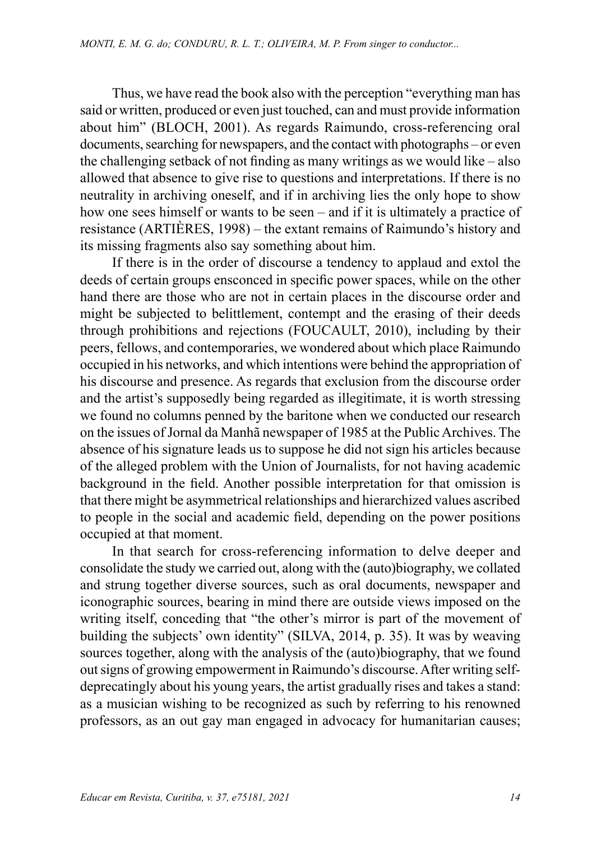Thus, we have read the book also with the perception "everything man has said or written, produced or even just touched, can and must provide information about him" (BLOCH, 2001). As regards Raimundo, cross-referencing oral documents, searching for newspapers, and the contact with photographs – or even the challenging setback of not finding as many writings as we would like – also allowed that absence to give rise to questions and interpretations. If there is no neutrality in archiving oneself, and if in archiving lies the only hope to show how one sees himself or wants to be seen – and if it is ultimately a practice of resistance (ARTIÈRES, 1998) – the extant remains of Raimundo's history and its missing fragments also say something about him.

If there is in the order of discourse a tendency to applaud and extol the deeds of certain groups ensconced in specific power spaces, while on the other hand there are those who are not in certain places in the discourse order and might be subjected to belittlement, contempt and the erasing of their deeds through prohibitions and rejections (FOUCAULT, 2010), including by their peers, fellows, and contemporaries, we wondered about which place Raimundo occupied in his networks, and which intentions were behind the appropriation of his discourse and presence. As regards that exclusion from the discourse order and the artist's supposedly being regarded as illegitimate, it is worth stressing we found no columns penned by the baritone when we conducted our research on the issues of Jornal da Manhã newspaper of 1985 at the Public Archives. The absence of his signature leads us to suppose he did not sign his articles because of the alleged problem with the Union of Journalists, for not having academic background in the field. Another possible interpretation for that omission is that there might be asymmetrical relationships and hierarchized values ascribed to people in the social and academic field, depending on the power positions occupied at that moment.

In that search for cross-referencing information to delve deeper and consolidate the study we carried out, along with the (auto)biography, we collated and strung together diverse sources, such as oral documents, newspaper and iconographic sources, bearing in mind there are outside views imposed on the writing itself, conceding that "the other's mirror is part of the movement of building the subjects' own identity" (SILVA, 2014, p. 35). It was by weaving sources together, along with the analysis of the (auto)biography, that we found out signs of growing empowerment in Raimundo's discourse. After writing selfdeprecatingly about his young years, the artist gradually rises and takes a stand: as a musician wishing to be recognized as such by referring to his renowned professors, as an out gay man engaged in advocacy for humanitarian causes;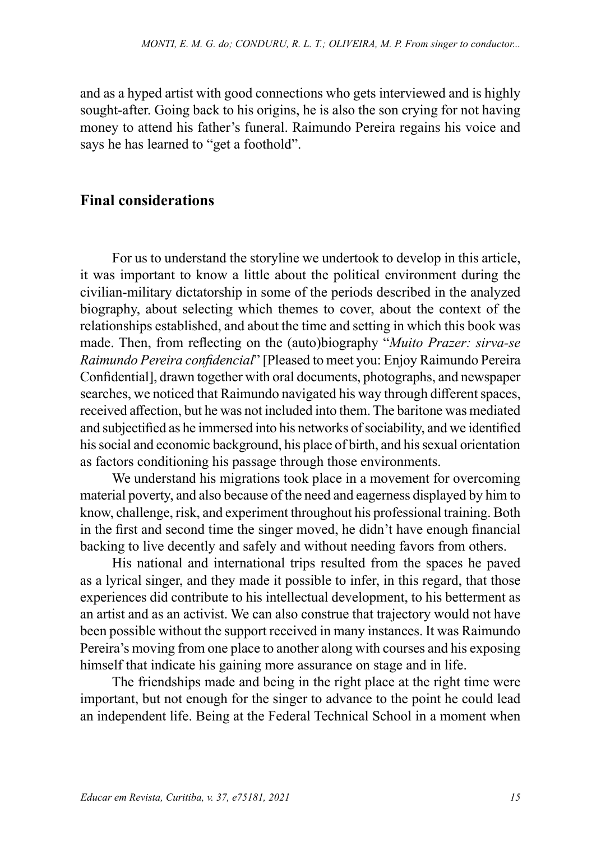and as a hyped artist with good connections who gets interviewed and is highly sought-after. Going back to his origins, he is also the son crying for not having money to attend his father's funeral. Raimundo Pereira regains his voice and says he has learned to "get a foothold".

#### **Final considerations**

For us to understand the storyline we undertook to develop in this article, it was important to know a little about the political environment during the civilian-military dictatorship in some of the periods described in the analyzed biography, about selecting which themes to cover, about the context of the relationships established, and about the time and setting in which this book was made. Then, from reflecting on the (auto)biography "*Muito Prazer: sirva-se Raimundo Pereira confidencial*" [Pleased to meet you: Enjoy Raimundo Pereira Confidential], drawn together with oral documents, photographs, and newspaper searches, we noticed that Raimundo navigated his way through different spaces, received affection, but he was not included into them. The baritone was mediated and subjectified as he immersed into his networks of sociability, and we identified his social and economic background, his place of birth, and his sexual orientation as factors conditioning his passage through those environments.

We understand his migrations took place in a movement for overcoming material poverty, and also because of the need and eagerness displayed by him to know, challenge, risk, and experiment throughout his professional training. Both in the first and second time the singer moved, he didn't have enough financial backing to live decently and safely and without needing favors from others.

His national and international trips resulted from the spaces he paved as a lyrical singer, and they made it possible to infer, in this regard, that those experiences did contribute to his intellectual development, to his betterment as an artist and as an activist. We can also construe that trajectory would not have been possible without the support received in many instances. It was Raimundo Pereira's moving from one place to another along with courses and his exposing himself that indicate his gaining more assurance on stage and in life.

The friendships made and being in the right place at the right time were important, but not enough for the singer to advance to the point he could lead an independent life. Being at the Federal Technical School in a moment when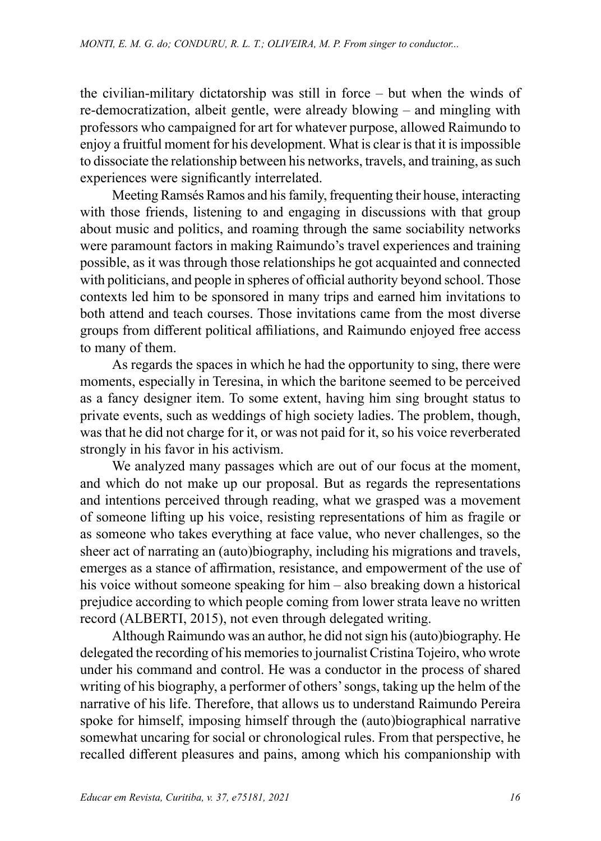the civilian-military dictatorship was still in force – but when the winds of re-democratization, albeit gentle, were already blowing – and mingling with professors who campaigned for art for whatever purpose, allowed Raimundo to enjoy a fruitful moment for his development. What is clear is that it is impossible to dissociate the relationship between his networks, travels, and training, as such experiences were significantly interrelated.

Meeting Ramsés Ramos and his family, frequenting their house, interacting with those friends, listening to and engaging in discussions with that group about music and politics, and roaming through the same sociability networks were paramount factors in making Raimundo's travel experiences and training possible, as it was through those relationships he got acquainted and connected with politicians, and people in spheres of official authority beyond school. Those contexts led him to be sponsored in many trips and earned him invitations to both attend and teach courses. Those invitations came from the most diverse groups from different political affiliations, and Raimundo enjoyed free access to many of them.

As regards the spaces in which he had the opportunity to sing, there were moments, especially in Teresina, in which the baritone seemed to be perceived as a fancy designer item. To some extent, having him sing brought status to private events, such as weddings of high society ladies. The problem, though, was that he did not charge for it, or was not paid for it, so his voice reverberated strongly in his favor in his activism.

We analyzed many passages which are out of our focus at the moment, and which do not make up our proposal. But as regards the representations and intentions perceived through reading, what we grasped was a movement of someone lifting up his voice, resisting representations of him as fragile or as someone who takes everything at face value, who never challenges, so the sheer act of narrating an (auto)biography, including his migrations and travels, emerges as a stance of affirmation, resistance, and empowerment of the use of his voice without someone speaking for him – also breaking down a historical prejudice according to which people coming from lower strata leave no written record (ALBERTI, 2015), not even through delegated writing.

Although Raimundo was an author, he did not sign his (auto)biography. He delegated the recording of his memories to journalist Cristina Tojeiro, who wrote under his command and control. He was a conductor in the process of shared writing of his biography, a performer of others' songs, taking up the helm of the narrative of his life. Therefore, that allows us to understand Raimundo Pereira spoke for himself, imposing himself through the (auto)biographical narrative somewhat uncaring for social or chronological rules. From that perspective, he recalled different pleasures and pains, among which his companionship with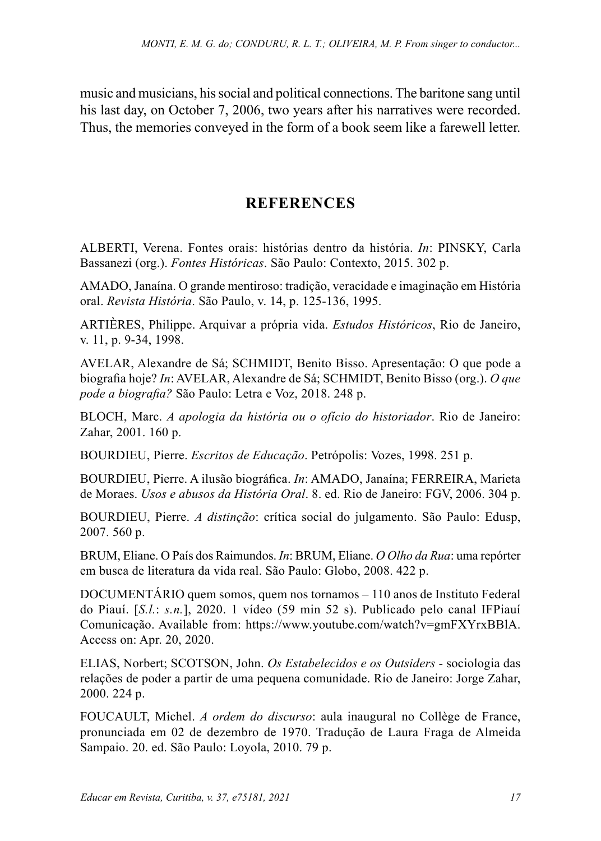music and musicians, his social and political connections. The baritone sang until his last day, on October 7, 2006, two years after his narratives were recorded. Thus, the memories conveyed in the form of a book seem like a farewell letter.

## **REFERENCES**

ALBERTI, Verena. Fontes orais: histórias dentro da história. *In*: PINSKY, Carla Bassanezi (org.). *Fontes Históricas*. São Paulo: Contexto, 2015. 302 p.

AMADO, Janaína. O grande mentiroso: tradição, veracidade e imaginação em História oral. *Revista História*. São Paulo, v. 14, p. 125-136, 1995.

ARTIÈRES, Philippe. Arquivar a própria vida. *Estudos Históricos*, Rio de Janeiro, v. 11, p. 9-34, 1998.

AVELAR, Alexandre de Sá; SCHMIDT, Benito Bisso. Apresentação: O que pode a biografia hoje? *In*: AVELAR, Alexandre de Sá; SCHMIDT, Benito Bisso (org.). *O que pode a biografia?* São Paulo: Letra e Voz, 2018. 248 p.

BLOCH, Marc. *A apologia da história ou o ofício do historiador*. Rio de Janeiro: Zahar, 2001. 160 p.

BOURDIEU, Pierre. *Escritos de Educação*. Petrópolis: Vozes, 1998. 251 p.

BOURDIEU, Pierre. A ilusão biográfica. *In*: AMADO, Janaína; FERREIRA, Marieta de Moraes. *Usos e abusos da História Oral*. 8. ed. Rio de Janeiro: FGV, 2006. 304 p.

BOURDIEU, Pierre. *A distinção*: crítica social do julgamento. São Paulo: Edusp, 2007. 560 p.

BRUM, Eliane. O País dos Raimundos. *In*: BRUM, Eliane. *O Olho da Rua*: uma repórter em busca de literatura da vida real. São Paulo: Globo, 2008. 422 p.

DOCUMENTÁRIO quem somos, quem nos tornamos – 110 anos de Instituto Federal do Piauí. [*S.l.*: *s.n.*], 2020. 1 vídeo (59 min 52 s). Publicado pelo canal IFPiauí Comunicação. Available from: https://www.youtube.com/watch?v=gmFXYrxBBlA. Access on: Apr. 20, 2020.

ELIAS, Norbert; SCOTSON, John. *Os Estabelecidos e os Outsiders* - sociologia das relações de poder a partir de uma pequena comunidade. Rio de Janeiro: Jorge Zahar, 2000. 224 p.

FOUCAULT, Michel. *A ordem do discurso*: aula inaugural no Collège de France, pronunciada em 02 de dezembro de 1970. Tradução de Laura Fraga de Almeida Sampaio. 20. ed. São Paulo: Loyola, 2010. 79 p.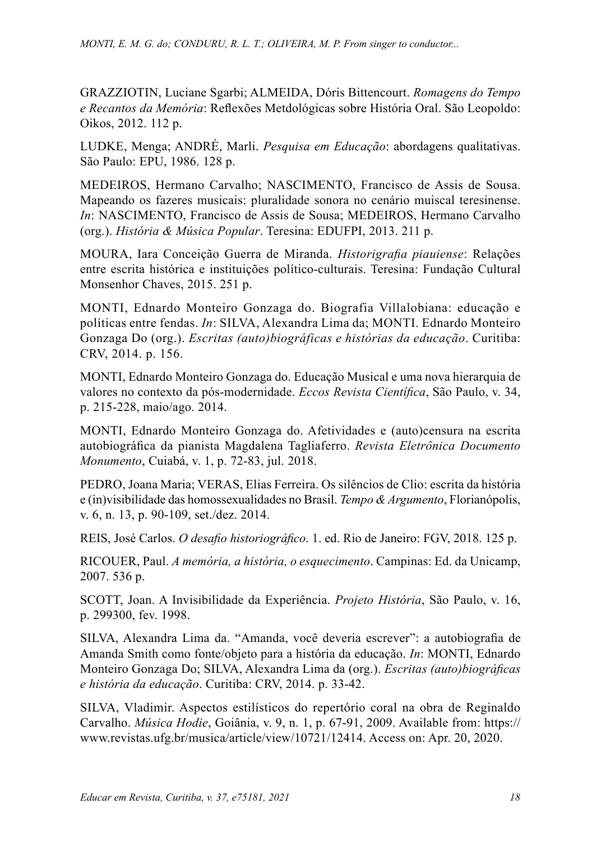GRAZZIOTIN, Luciane Sgarbi; ALMEIDA, Dóris Bittencourt. *Romagens do Tempo e Recantos da Memória*: Reflexões Metdológicas sobre História Oral. São Leopoldo: Oikos, 2012. 112 p.

LUDKE, Menga; ANDRÉ, Marli. *Pesquisa em Educação*: abordagens qualitativas. São Paulo: EPU, 1986. 128 p.

MEDEIROS, Hermano Carvalho; NASCIMENTO, Francisco de Assis de Sousa. Mapeando os fazeres musicais: pluralidade sonora no cenário muiscal teresinense. *In*: NASCIMENTO, Francisco de Assis de Sousa; MEDEIROS, Hermano Carvalho (org.). *História & Música Popular*. Teresina: EDUFPI, 2013. 211 p.

MOURA, Iara Conceição Guerra de Miranda. *Historigrafia piauiense*: Relações entre escrita histórica e instituições político-culturais. Teresina: Fundação Cultural Monsenhor Chaves, 2015. 251 p.

MONTI, Ednardo Monteiro Gonzaga do. Biografia Villalobiana: educação e políticas entre fendas. *In*: SILVA, Alexandra Lima da; MONTI. Ednardo Monteiro Gonzaga Do (org.). *Escritas (auto)biográficas e histórias da educação*. Curitiba: CRV, 2014. p. 156.

MONTI, Ednardo Monteiro Gonzaga do. Educação Musical e uma nova hierarquia de valores no contexto da pós-modernidade. *Eccos Revista Científica*, São Paulo, v. 34, p. 215-228, maio/ago. 2014.

MONTI, Ednardo Monteiro Gonzaga do. Afetividades e (auto)censura na escrita autobiográfica da pianista Magdalena Tagliaferro. *Revista Eletrônica Documento Monumento*, Cuiabá, v. 1, p. 72-83, jul. 2018.

PEDRO, Joana Maria; VERAS, Elias Ferreira. Os silêncios de Clio: escrita da história e (in)visibilidade das homossexualidades no Brasil. *Tempo & Argumento*, Florianópolis, v. 6, n. 13, p. 90-109, set./dez. 2014.

REIS, José Carlos. *O desafio historiográfico*. 1. ed. Rio de Janeiro: FGV, 2018. 125 p.

RICOUER, Paul. *A memória, a história, o esquecimento*. Campinas: Ed. da Unicamp, 2007. 536 p.

SCOTT, Joan. A Invisibilidade da Experiência. *Projeto História*, São Paulo, v. 16, p. 299300, fev. 1998.

SILVA, Alexandra Lima da. "Amanda, você deveria escrever": a autobiografia de Amanda Smith como fonte/objeto para a história da educação. *In*: MONTI, Ednardo Monteiro Gonzaga Do; SILVA, Alexandra Lima da (org.). *Escritas (auto)biográficas e história da educação*. Curitiba: CRV, 2014. p. 33-42.

SILVA, Vladimir. Aspectos estilísticos do repertório coral na obra de Reginaldo Carvalho. *Música Hodie*, Goiânia, v. 9, n. 1, p. 67-91, 2009. Available from: [https://](https://www.revistas.ufg.br/musica/article/view/10721/12414) [www.revistas.ufg.br/musica/article/view/10721/12414.](https://www.revistas.ufg.br/musica/article/view/10721/12414) Access on: Apr. 20, 2020.